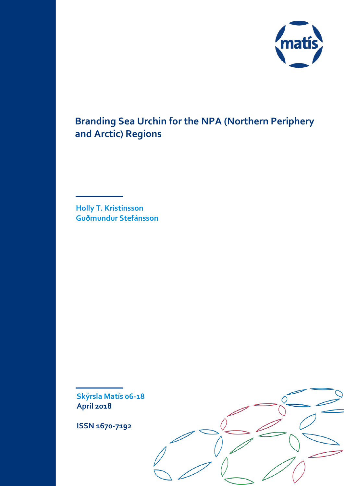

# **Branding Sea Urchin for the NPA (Northern Periphery and Arctic) Regions**

**Holly T. Kristinsson Guðmundur Stefánsson**

**Skýrsla Matís 06-18 Apríl 2018**

**ISSN 1670-7192**

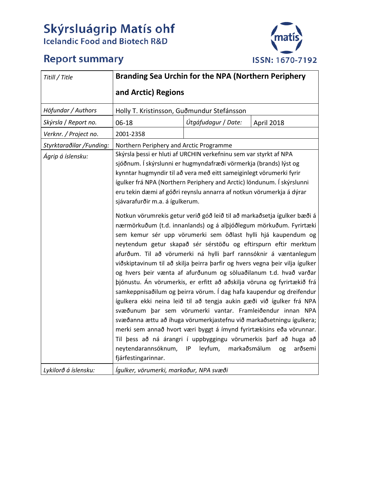# Skýrsluágrip Matís ohf<br>Icelandic Food and Biotech R&D

# **Report summary**



| Titill / Title           | <b>Branding Sea Urchin for the NPA (Northern Periphery</b>                                                                                                                                                                                                                                                                                                                                                                                                                                                                                                                                                                                                                                                                                                                                                                                                                                                                                                                                                                                                                                                                                                                                                                                                                                                                                                                                                                     |                     |            |
|--------------------------|--------------------------------------------------------------------------------------------------------------------------------------------------------------------------------------------------------------------------------------------------------------------------------------------------------------------------------------------------------------------------------------------------------------------------------------------------------------------------------------------------------------------------------------------------------------------------------------------------------------------------------------------------------------------------------------------------------------------------------------------------------------------------------------------------------------------------------------------------------------------------------------------------------------------------------------------------------------------------------------------------------------------------------------------------------------------------------------------------------------------------------------------------------------------------------------------------------------------------------------------------------------------------------------------------------------------------------------------------------------------------------------------------------------------------------|---------------------|------------|
|                          | and Arctic) Regions                                                                                                                                                                                                                                                                                                                                                                                                                                                                                                                                                                                                                                                                                                                                                                                                                                                                                                                                                                                                                                                                                                                                                                                                                                                                                                                                                                                                            |                     |            |
| Höfundar / Authors       | Holly T. Kristinsson, Guðmundur Stefánsson                                                                                                                                                                                                                                                                                                                                                                                                                                                                                                                                                                                                                                                                                                                                                                                                                                                                                                                                                                                                                                                                                                                                                                                                                                                                                                                                                                                     |                     |            |
| Skýrsla / Report no.     | 06-18                                                                                                                                                                                                                                                                                                                                                                                                                                                                                                                                                                                                                                                                                                                                                                                                                                                                                                                                                                                                                                                                                                                                                                                                                                                                                                                                                                                                                          | Útgáfudagur / Date: | April 2018 |
| Verknr. / Project no.    | 2001-2358                                                                                                                                                                                                                                                                                                                                                                                                                                                                                                                                                                                                                                                                                                                                                                                                                                                                                                                                                                                                                                                                                                                                                                                                                                                                                                                                                                                                                      |                     |            |
| Styrktaraðilar /Funding: | Northern Periphery and Arctic Programme                                                                                                                                                                                                                                                                                                                                                                                                                                                                                                                                                                                                                                                                                                                                                                                                                                                                                                                                                                                                                                                                                                                                                                                                                                                                                                                                                                                        |                     |            |
| Ágrip á íslensku:        | Skýrsla þessi er hluti af URCHIN verkefninu sem var styrkt af NPA<br>sjóðnum. Í skýrslunni er hugmyndafræði vörmerkja (brands) lýst og<br>kynntar hugmyndir til að vera með eitt sameiginlegt vörumerki fyrir<br>ígulker frá NPA (Northern Periphery and Arctic) löndunum. Í skýrslunni<br>eru tekin dæmi af góðri reynslu annarra af notkun vörumerkja á dýrar<br>sjávarafurðir m.a. á ígulkerum.<br>Notkun vörumrekis getur verið góð leið til að markaðsetja ígulker bæði á<br>nærmörkuðum (t.d. innanlands) og á alþjóðlegum mörkuðum. Fyrirtæki<br>sem kemur sér upp vörumerki sem öðlast hylli hjá kaupendum og<br>neytendum getur skapað sér sérstöðu og eftirspurn eftir merktum<br>afurðum. Til að vörumerki ná hylli þarf rannsóknir á væntanlegum<br>viðskiptavinum til að skilja þeirra þarfir og hvers vegna þeir vilja ígulker<br>og hvers þeir vænta af afurðunum og söluaðilanum t.d. hvað varðar<br>þjónustu. Án vörumerkis, er erfitt að aðskilja vöruna og fyrirtækið frá<br>samkeppnisaðilum og þeirra vörum. Í dag hafa kaupendur og dreifendur<br>ígulkera ekki neina leið til að tengja aukin gæði við ígulker frá NPA<br>svæðunum þar sem vörumerki vantar. Framleiðendur innan NPA<br>svæðanna ættu að íhuga vörumerkjastefnu við markaðsetningu ígulkera;<br>merki sem annað hvort væri byggt á ímynd fyrirtækisins eða vörunnar.<br>Til þess að ná árangri í uppbyggingu vörumerkis þarf að huga að |                     |            |
| Lykilorð á íslensku:     | Ígulker, vörumerki, markaður, NPA svæði                                                                                                                                                                                                                                                                                                                                                                                                                                                                                                                                                                                                                                                                                                                                                                                                                                                                                                                                                                                                                                                                                                                                                                                                                                                                                                                                                                                        |                     |            |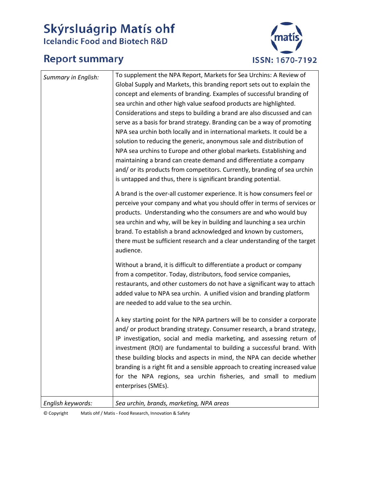# Skýrsluágrip Matís ohf<br>Icelandic Food and Biotech R&D

## **Report summary**



|                     | To supplement the NPA Report, Markets for Sea Urchins: A Review of                                                                                   |
|---------------------|------------------------------------------------------------------------------------------------------------------------------------------------------|
| Summary in English: | Global Supply and Markets, this branding report sets out to explain the                                                                              |
|                     | concept and elements of branding. Examples of successful branding of                                                                                 |
|                     | sea urchin and other high value seafood products are highlighted.                                                                                    |
|                     | Considerations and steps to building a brand are also discussed and can                                                                              |
|                     | serve as a basis for brand strategy. Branding can be a way of promoting                                                                              |
|                     | NPA sea urchin both locally and in international markets. It could be a                                                                              |
|                     | solution to reducing the generic, anonymous sale and distribution of                                                                                 |
|                     | NPA sea urchins to Europe and other global markets. Establishing and                                                                                 |
|                     | maintaining a brand can create demand and differentiate a company                                                                                    |
|                     | and/ or its products from competitors. Currently, branding of sea urchin                                                                             |
|                     | is untapped and thus, there is significant branding potential.                                                                                       |
|                     | A brand is the over-all customer experience. It is how consumers feel or                                                                             |
|                     | perceive your company and what you should offer in terms of services or                                                                              |
|                     | products. Understanding who the consumers are and who would buy                                                                                      |
|                     | sea urchin and why, will be key in building and launching a sea urchin                                                                               |
|                     | brand. To establish a brand acknowledged and known by customers,                                                                                     |
|                     | there must be sufficient research and a clear understanding of the target                                                                            |
|                     | audience.                                                                                                                                            |
|                     | Without a brand, it is difficult to differentiate a product or company                                                                               |
|                     | from a competitor. Today, distributors, food service companies,                                                                                      |
|                     | restaurants, and other customers do not have a significant way to attach                                                                             |
|                     | added value to NPA sea urchin. A unified vision and branding platform                                                                                |
|                     | are needed to add value to the sea urchin.                                                                                                           |
|                     |                                                                                                                                                      |
|                     | A key starting point for the NPA partners will be to consider a corporate                                                                            |
|                     | and/ or product branding strategy. Consumer research, a brand strategy,                                                                              |
|                     | IP investigation, social and media marketing, and assessing return of                                                                                |
|                     | investment (ROI) are fundamental to building a successful brand. With                                                                                |
|                     | these building blocks and aspects in mind, the NPA can decide whether<br>branding is a right fit and a sensible approach to creating increased value |
|                     | for the NPA regions, sea urchin fisheries, and small to medium                                                                                       |
|                     | enterprises (SMEs).                                                                                                                                  |
|                     |                                                                                                                                                      |
| English keywords:   | Sea urchin, brands, marketing, NPA areas                                                                                                             |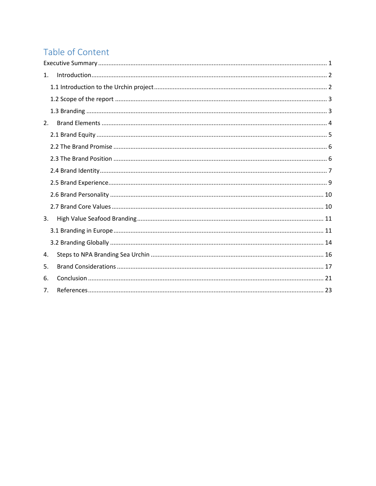## Table of Content

| 1. |  |
|----|--|
|    |  |
|    |  |
|    |  |
| 2. |  |
|    |  |
|    |  |
|    |  |
|    |  |
|    |  |
|    |  |
|    |  |
| 3. |  |
|    |  |
|    |  |
| 4. |  |
| 5. |  |
| 6. |  |
| 7. |  |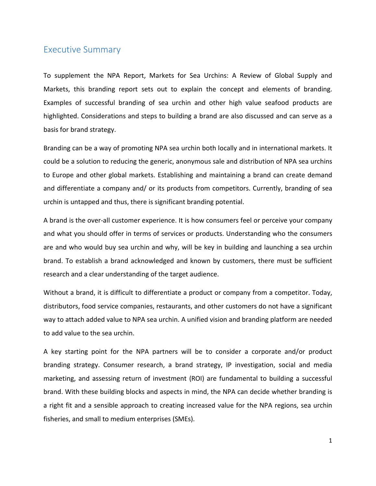## <span id="page-4-0"></span>Executive Summary

To supplement the NPA Report, Markets for Sea Urchins: A Review of Global Supply and Markets, this branding report sets out to explain the concept and elements of branding. Examples of successful branding of sea urchin and other high value seafood products are highlighted. Considerations and steps to building a brand are also discussed and can serve as a basis for brand strategy.

Branding can be a way of promoting NPA sea urchin both locally and in international markets. It could be a solution to reducing the generic, anonymous sale and distribution of NPA sea urchins to Europe and other global markets. Establishing and maintaining a brand can create demand and differentiate a company and/ or its products from competitors. Currently, branding of sea urchin is untapped and thus, there is significant branding potential.

A brand is the over-all customer experience. It is how consumers feel or perceive your company and what you should offer in terms of services or products. Understanding who the consumers are and who would buy sea urchin and why, will be key in building and launching a sea urchin brand. To establish a brand acknowledged and known by customers, there must be sufficient research and a clear understanding of the target audience.

Without a brand, it is difficult to differentiate a product or company from a competitor. Today, distributors, food service companies, restaurants, and other customers do not have a significant way to attach added value to NPA sea urchin. A unified vision and branding platform are needed to add value to the sea urchin.

A key starting point for the NPA partners will be to consider a corporate and/or product branding strategy. Consumer research, a brand strategy, IP investigation, social and media marketing, and assessing return of investment (ROI) are fundamental to building a successful brand. With these building blocks and aspects in mind, the NPA can decide whether branding is a right fit and a sensible approach to creating increased value for the NPA regions, sea urchin fisheries, and small to medium enterprises (SMEs).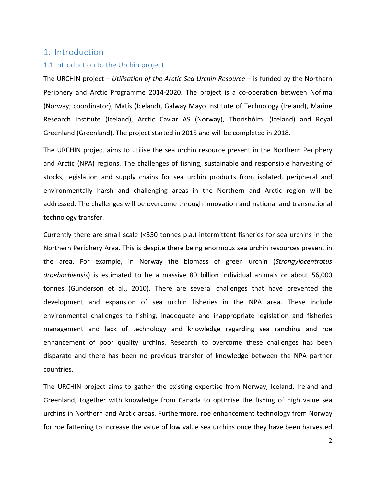## <span id="page-5-0"></span>1. Introduction

#### <span id="page-5-1"></span>1.1 Introduction to the Urchin project

The URCHIN project – *Utilisation of the Arctic Sea Urchin Resource* – is funded by the Northern Periphery and Arctic Programme 2014-2020. The project is a co-operation between Nofima (Norway; coordinator), Matís (Iceland), Galway Mayo Institute of Technology (Ireland), Marine Research Institute (Iceland), Arctic Caviar AS (Norway), Thorishólmi (Iceland) and Royal Greenland (Greenland). The project started in 2015 and will be completed in 2018.

The URCHIN project aims to utilise the sea urchin resource present in the Northern Periphery and Arctic (NPA) regions. The challenges of fishing, sustainable and responsible harvesting of stocks, legislation and supply chains for sea urchin products from isolated, peripheral and environmentally harsh and challenging areas in the Northern and Arctic region will be addressed. The challenges will be overcome through innovation and national and transnational technology transfer.

Currently there are small scale (<350 tonnes p.a.) intermittent fisheries for sea urchins in the Northern Periphery Area. This is despite there being enormous sea urchin resources present in the area. For example, in Norway the biomass of green urchin (*Strongylocentrotus droebachiensis*) is estimated to be a massive 80 billion individual animals or about 56,000 tonnes (Gunderson et al., 2010). There are several challenges that have prevented the development and expansion of sea urchin fisheries in the NPA area. These include environmental challenges to fishing, inadequate and inappropriate legislation and fisheries management and lack of technology and knowledge regarding sea ranching and roe enhancement of poor quality urchins. Research to overcome these challenges has been disparate and there has been no previous transfer of knowledge between the NPA partner countries.

The URCHIN project aims to gather the existing expertise from Norway, Iceland, Ireland and Greenland, together with knowledge from Canada to optimise the fishing of high value sea urchins in Northern and Arctic areas. Furthermore, roe enhancement technology from Norway for roe fattening to increase the value of low value sea urchins once they have been harvested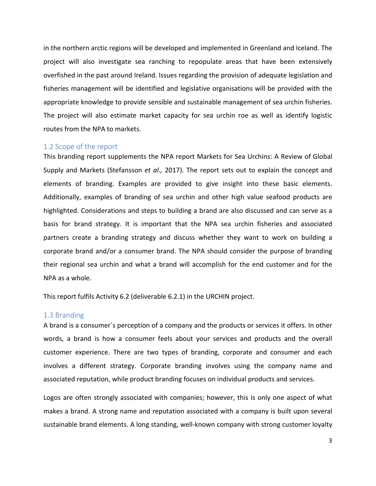in the northern arctic regions will be developed and implemented in Greenland and Iceland. The project will also investigate sea ranching to repopulate areas that have been extensively overfished in the past around Ireland. Issues regarding the provision of adequate legislation and fisheries management will be identified and legislative organisations will be provided with the appropriate knowledge to provide sensible and sustainable management of sea urchin fisheries. The project will also estimate market capacity for sea urchin roe as well as identify logistic routes from the NPA to markets.

## <span id="page-6-0"></span>1.2 Scope of the report

This branding report supplements the NPA report Markets for Sea Urchins: A Review of Global Supply and Markets (Stefansson *et al.,* 2017). The report sets out to explain the concept and elements of branding. Examples are provided to give insight into these basic elements. Additionally, examples of branding of sea urchin and other high value seafood products are highlighted. Considerations and steps to building a brand are also discussed and can serve as a basis for brand strategy. It is important that the NPA sea urchin fisheries and associated partners create a branding strategy and discuss whether they want to work on building a corporate brand and/or a consumer brand. The NPA should consider the purpose of branding their regional sea urchin and what a brand will accomplish for the end customer and for the NPA as a whole.

This report fulfils Activity 6.2 (deliverable 6.2.1) in the URCHIN project.

## <span id="page-6-1"></span>1.3 Branding

A brand is a consumer´s perception of a company and the products or services it offers. In other words, a brand is how a consumer feels about your services and products and the overall customer experience. There are two types of branding, corporate and consumer and each involves a different strategy. Corporate branding involves using the company name and associated reputation, while product branding focuses on individual products and services.

Logos are often strongly associated with companies; however, this is only one aspect of what makes a brand. A strong name and reputation associated with a company is built upon several sustainable brand elements. A long standing, well-known company with strong customer loyalty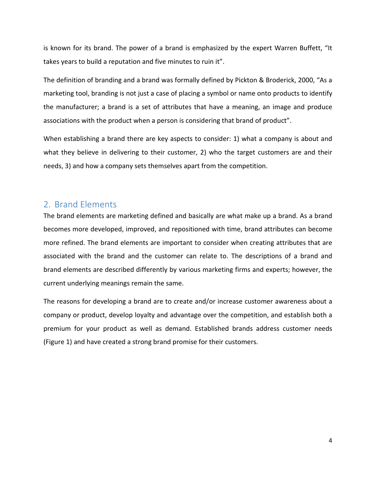is known for its brand. The power of a brand is emphasized by the expert Warren Buffett, "It takes years to build a reputation and five minutes to ruin it".

The definition of branding and a brand was formally defined by Pickton & Broderick, 2000, "As a marketing tool, branding is not just a case of placing a symbol or name onto products to identify the manufacturer; a brand is a set of attributes that have a meaning, an image and produce associations with the product when a person is considering that brand of product".

When establishing a brand there are key aspects to consider: 1) what a company is about and what they believe in delivering to their customer, 2) who the target customers are and their needs, 3) and how a company sets themselves apart from the competition.

## <span id="page-7-0"></span>2. Brand Elements

The brand elements are marketing defined and basically are what make up a brand. As a brand becomes more developed, improved, and repositioned with time, brand attributes can become more refined. The brand elements are important to consider when creating attributes that are associated with the brand and the customer can relate to. The descriptions of a brand and brand elements are described differently by various marketing firms and experts; however, the current underlying meanings remain the same.

The reasons for developing a brand are to create and/or increase customer awareness about a company or product, develop loyalty and advantage over the competition, and establish both a premium for your product as well as demand. Established brands address customer needs (Figure 1) and have created a strong brand promise for their customers.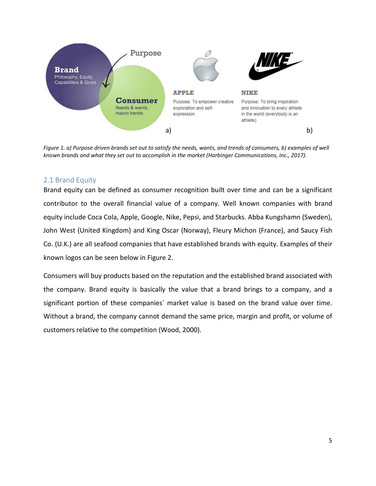

*Figure 1. a) Purpose driven brands set out to satisfy the needs, wants, and trends of consumers, b) examples of well known brands and what they set out to accomplish in the market (Harbinger Communications, Inc., 2017).*

## <span id="page-8-0"></span>2.1 Brand Equity

Brand equity can be defined as consumer recognition built over time and can be a significant contributor to the overall financial value of a company. Well known companies with brand equity include Coca Cola, Apple, Google, Nike, Pepsi, and Starbucks. Abba Kungshamn (Sweden), John West (United Kingdom) and King Oscar (Norway), Fleury Michon (France), and Saucy Fish Co. (U.K.) are all seafood companies that have established brands with equity. Examples of their known logos can be seen below in Figure 2.

Consumers will buy products based on the reputation and the established brand associated with the company. Brand equity is basically the value that a brand brings to a company, and a significant portion of these companies´ market value is based on the brand value over time. Without a brand, the company cannot demand the same price, margin and profit, or volume of customers relative to the competition (Wood, 2000).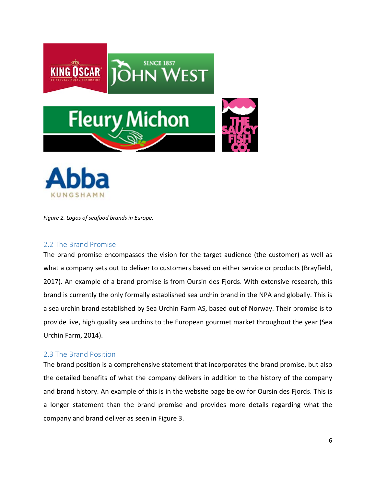



*Figure 2. Logos of seafood brands in Europe.*

## <span id="page-9-0"></span>2.2 The Brand Promise

The brand promise encompasses the vision for the target audience (the customer) as well as what a company sets out to deliver to customers based on either service or products (Brayfield, 2017). An example of a brand promise is from Oursin des Fjords. With extensive research, this brand is currently the only formally established sea urchin brand in the NPA and globally. This is a sea urchin brand established by Sea Urchin Farm AS, based out of Norway. Their promise is to provide live, high quality sea urchins to the European gourmet market throughout the year (Sea Urchin Farm, 2014).

#### <span id="page-9-1"></span>2.3 The Brand Position

The brand position is a comprehensive statement that incorporates the brand promise, but also the detailed benefits of what the company delivers in addition to the history of the company and brand history. An example of this is in the website page below for Oursin des Fjords. This is a longer statement than the brand promise and provides more details regarding what the company and brand deliver as seen in Figure 3.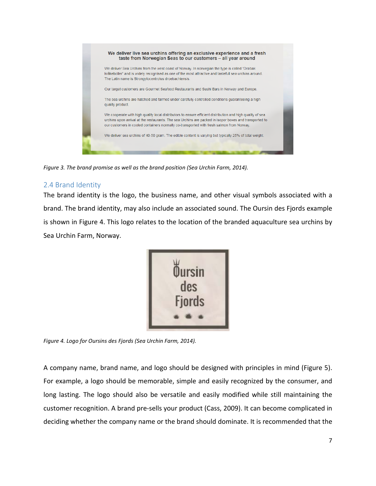

*Figure 3. The brand promise as well as the brand position (Sea Urchin Farm, 2014).*

## <span id="page-10-0"></span>2.4 Brand Identity

The brand identity is the logo, the business name, and other visual symbols associated with a brand. The brand identity, may also include an associated sound. The Oursin des Fjords example is shown in Figure 4. This logo relates to the location of the branded aquaculture sea urchins by Sea Urchin Farm, Norway.



*Figure 4. Logo for Oursins des Fjords (Sea Urchin Farm, 2014).*

A company name, brand name, and logo should be designed with principles in mind (Figure 5). For example, a logo should be memorable, simple and easily recognized by the consumer, and long lasting. The logo should also be versatile and easily modified while still maintaining the customer recognition. A brand pre-sells your product (Cass, 2009). It can become complicated in deciding whether the company name or the brand should dominate. It is recommended that the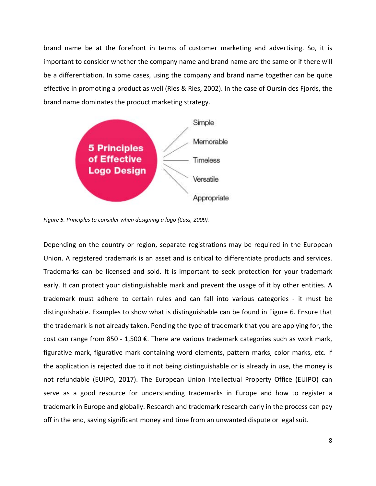brand name be at the forefront in terms of customer marketing and advertising. So, it is important to consider whether the company name and brand name are the same or if there will be a differentiation. In some cases, using the company and brand name together can be quite effective in promoting a product as well (Ries & Ries, 2002). In the case of Oursin des Fjords, the brand name dominates the product marketing strategy.



*Figure 5. Principles to consider when designing a logo (Cass, 2009).*

Depending on the country or region, separate registrations may be required in the European Union. A registered trademark is an asset and is critical to differentiate products and services. Trademarks can be licensed and sold. It is important to seek protection for your trademark early. It can protect your distinguishable mark and prevent the usage of it by other entities. A trademark must adhere to certain rules and can fall into various categories - it must be distinguishable. Examples to show what is distinguishable can be found in Figure 6. Ensure that the trademark is not already taken. Pending the type of trademark that you are applying for, the cost can range from 850 - 1,500 €. There are various trademark categories such as work mark, figurative mark, figurative mark containing word elements, pattern marks, color marks, etc. If the application is rejected due to it not being distinguishable or is already in use, the money is not refundable (EUIPO, 2017). The European Union Intellectual Property Office (EUIPO) can serve as a good resource for understanding trademarks in Europe and how to register a trademark in Europe and globally. Research and trademark research early in the process can pay off in the end, saving significant money and time from an unwanted dispute or legal suit.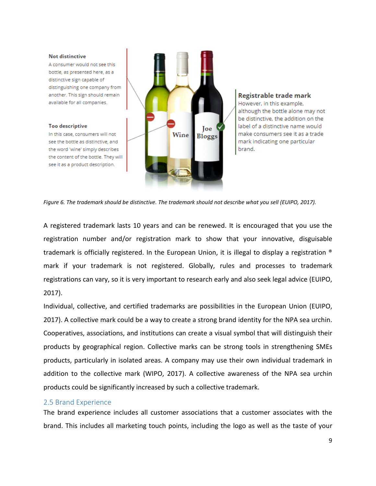#### **Not distinctive**

A consumer would not see this bottle, as presented here, as a distinctive sign capable of distinguishing one company from another. This sign should remain available for all companies.

#### **Too descriptive**

In this case, consumers will not see the bottle as distinctive, and the word 'wine' simply describes the content of the bottle. They will see it as a product description.





*Figure 6. The trademark should be distinctive. The trademark should not describe what you sell (EUIPO, 2017).*

A registered trademark lasts 10 years and can be renewed. It is encouraged that you use the registration number and/or registration mark to show that your innovative, disguisable trademark is officially registered. In the European Union, it is illegal to display a registration ® mark if your trademark is not registered. Globally, rules and processes to trademark registrations can vary, so it is very important to research early and also seek legal advice (EUIPO, 2017).

Individual, collective, and certified trademarks are possibilities in the European Union (EUIPO, 2017). A collective mark could be a way to create a strong brand identity for the NPA sea urchin. Cooperatives, associations, and institutions can create a visual symbol that will distinguish their products by geographical region. Collective marks can be strong tools in strengthening SMEs products, particularly in isolated areas. A company may use their own individual trademark in addition to the collective mark (WIPO, 2017). A collective awareness of the NPA sea urchin products could be significantly increased by such a collective trademark.

#### <span id="page-12-0"></span>2.5 Brand Experience

The brand experience includes all customer associations that a customer associates with the brand. This includes all marketing touch points, including the logo as well as the taste of your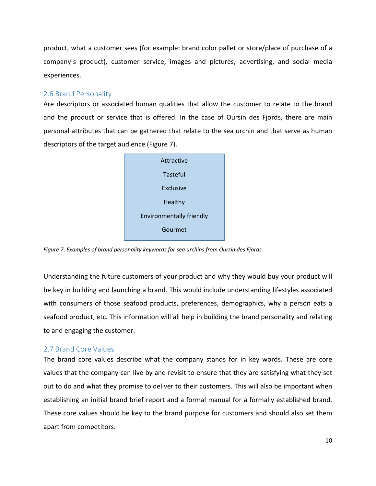product, what a customer sees (for example: brand color pallet or store/place of purchase of a company´s product), customer service, images and pictures, advertising, and social media experiences.

## <span id="page-13-0"></span>2.6 Brand Personality

Are descriptors or associated human qualities that allow the customer to relate to the brand and the product or service that is offered. In the case of Oursin des Fjords, there are main personal attributes that can be gathered that relate to the sea urchin and that serve as human descriptors of the target audience (Figure 7).



*Figure 7. Examples of brand personality keywords for sea urchins from Oursin des Fjords.*

Understanding the future customers of your product and why they would buy your product will be key in building and launching a brand. This would include understanding lifestyles associated with consumers of those seafood products, preferences, demographics, why a person eats a seafood product, etc. This information will all help in building the brand personality and relating to and engaging the customer.

## <span id="page-13-1"></span>2.7 Brand Core Values

The brand core values describe what the company stands for in key words. These are core values that the company can live by and revisit to ensure that they are satisfying what they set out to do and what they promise to deliver to their customers. This will also be important when establishing an initial brand brief report and a formal manual for a formally established brand. These core values should be key to the brand purpose for customers and should also set them apart from competitors.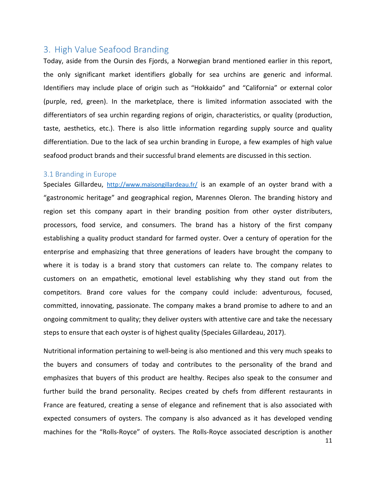## <span id="page-14-0"></span>3. High Value Seafood Branding

Today, aside from the Oursin des Fjords, a Norwegian brand mentioned earlier in this report, the only significant market identifiers globally for sea urchins are generic and informal. Identifiers may include place of origin such as "Hokkaido" and "California" or external color (purple, red, green). In the marketplace, there is limited information associated with the differentiators of sea urchin regarding regions of origin, characteristics, or quality (production, taste, aesthetics, etc.). There is also little information regarding supply source and quality differentiation. Due to the lack of sea urchin branding in Europe, a few examples of high value seafood product brands and their successful brand elements are discussed in this section.

#### <span id="page-14-1"></span>3.1 Branding in Europe

Speciales Gillardeu, <http://www.maisongillardeau.fr/> is an example of an oyster brand with a "gastronomic heritage" and geographical region, Marennes Oleron. The branding history and region set this company apart in their branding position from other oyster distributers, processors, food service, and consumers. The brand has a history of the first company establishing a quality product standard for farmed oyster. Over a century of operation for the enterprise and emphasizing that three generations of leaders have brought the company to where it is today is a brand story that customers can relate to. The company relates to customers on an empathetic, emotional level establishing why they stand out from the competitors. Brand core values for the company could include: adventurous, focused, committed, innovating, passionate. The company makes a brand promise to adhere to and an ongoing commitment to quality; they deliver oysters with attentive care and take the necessary steps to ensure that each oyster is of highest quality (Speciales Gillardeau, 2017).

Nutritional information pertaining to well-being is also mentioned and this very much speaks to the buyers and consumers of today and contributes to the personality of the brand and emphasizes that buyers of this product are healthy. Recipes also speak to the consumer and further build the brand personality. Recipes created by chefs from different restaurants in France are featured, creating a sense of elegance and refinement that is also associated with expected consumers of oysters. The company is also advanced as it has developed vending machines for the "Rolls-Royce" of oysters. The Rolls-Royce associated description is another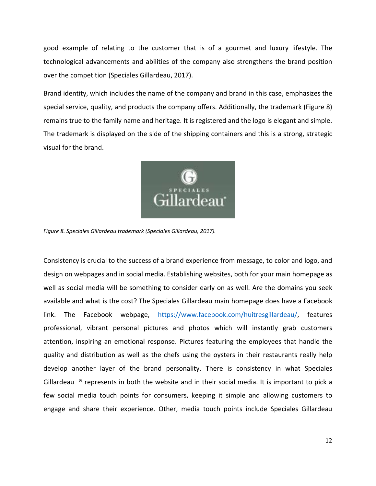good example of relating to the customer that is of a gourmet and luxury lifestyle. The technological advancements and abilities of the company also strengthens the brand position over the competition (Speciales Gillardeau, 2017).

Brand identity, which includes the name of the company and brand in this case, emphasizes the special service, quality, and products the company offers. Additionally, the trademark (Figure 8) remains true to the family name and heritage. It is registered and the logo is elegant and simple. The trademark is displayed on the side of the shipping containers and this is a strong, strategic visual for the brand.



*Figure 8. Speciales Gillardeau trademark (Speciales Gillardeau, 2017).* 

Consistency is crucial to the success of a brand experience from message, to color and logo, and design on webpages and in social media. Establishing websites, both for your main homepage as well as social media will be something to consider early on as well. Are the domains you seek available and what is the cost? The Speciales Gillardeau main homepage does have a Facebook link. The Facebook webpage, [https://www.facebook.com/huitresgillardeau/,](https://www.facebook.com/huitresgillardeau/) features professional, vibrant personal pictures and photos which will instantly grab customers attention, inspiring an emotional response. Pictures featuring the employees that handle the quality and distribution as well as the chefs using the oysters in their restaurants really help develop another layer of the brand personality. There is consistency in what Speciales Gillardeau  $\bullet$  represents in both the website and in their social media. It is important to pick a few social media touch points for consumers, keeping it simple and allowing customers to engage and share their experience. Other, media touch points include Speciales Gillardeau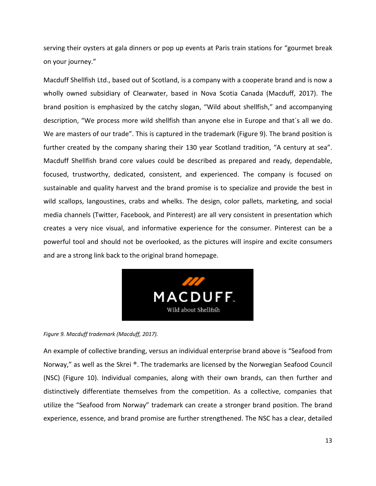serving their oysters at gala dinners or pop up events at Paris train stations for "gourmet break on your journey."

Macduff Shellfish Ltd., based out of Scotland, is a company with a cooperate brand and is now a wholly owned subsidiary of Clearwater, based in Nova Scotia Canada (Macduff, 2017). The brand position is emphasized by the catchy slogan, "Wild about shellfish," and accompanying description, "We process more wild shellfish than anyone else in Europe and that´s all we do. We are masters of our trade". This is captured in the trademark (Figure 9). The brand position is further created by the company sharing their 130 year Scotland tradition, "A century at sea". Macduff Shellfish brand core values could be described as prepared and ready, dependable, focused, trustworthy, dedicated, consistent, and experienced. The company is focused on sustainable and quality harvest and the brand promise is to specialize and provide the best in wild scallops, langoustines, crabs and whelks. The design, color pallets, marketing, and social media channels (Twitter, Facebook, and Pinterest) are all very consistent in presentation which creates a very nice visual, and informative experience for the consumer. Pinterest can be a powerful tool and should not be overlooked, as the pictures will inspire and excite consumers and are a strong link back to the original brand homepage.



#### *Figure 9. Macduff trademark (Macduff, 2017).*

An example of collective branding, versus an individual enterprise brand above is "Seafood from Norway," as well as the Skrei ®. The trademarks are licensed by the Norwegian Seafood Council (NSC) (Figure 10). Individual companies, along with their own brands, can then further and distinctively differentiate themselves from the competition. As a collective, companies that utilize the "Seafood from Norway" trademark can create a stronger brand position. The brand experience, essence, and brand promise are further strengthened. The NSC has a clear, detailed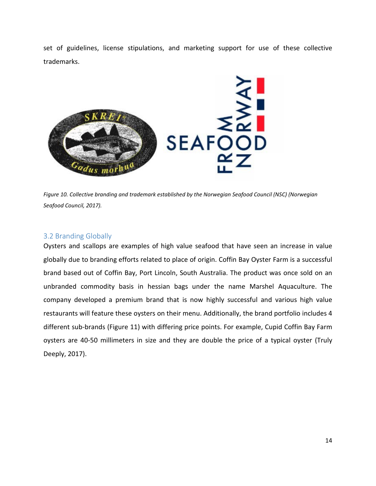set of guidelines, license stipulations, and marketing support for use of these collective trademarks.



*Figure 10. Collective branding and trademark established by the Norwegian Seafood Council (NSC) (Norwegian Seafood Council, 2017).*

## <span id="page-17-0"></span>3.2 Branding Globally

Oysters and scallops are examples of high value seafood that have seen an increase in value globally due to branding efforts related to place of origin. Coffin Bay Oyster Farm is a successful brand based out of Coffin Bay, Port Lincoln, South Australia. The product was once sold on an unbranded commodity basis in hessian bags under the name Marshel Aquaculture. The company developed a premium brand that is now highly successful and various high value restaurants will feature these oysters on their menu. Additionally, the brand portfolio includes 4 different sub-brands (Figure 11) with differing price points. For example, Cupid Coffin Bay Farm oysters are 40-50 millimeters in size and they are double the price of a typical oyster (Truly Deeply, 2017).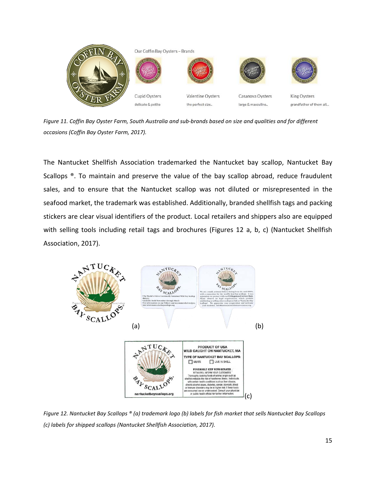

*Figure 11. Coffin Bay Oyster Farm, South Australia and sub-brands based on size and qualities and for different occasions (Coffin Bay Oyster Farm, 2017).* 

The Nantucket Shellfish Association trademarked the Nantucket bay scallop, Nantucket Bay Scallops ®. To maintain and preserve the value of the bay scallop abroad, reduce fraudulent sales, and to ensure that the Nantucket scallop was not diluted or misrepresented in the seafood market, the trademark was established. Additionally, branded shellfish tags and packing stickers are clear visual identifiers of the product. Local retailers and shippers also are equipped with selling tools including retail tags and brochures (Figures 12 a, b, c) (Nantucket Shellfish Association, 2017).



*Figure 12. Nantucket Bay Scallops ® (a) trademark logo (b) labels for fish market that sells Nantucket Bay Scallops (c) labels for shipped scallops (Nantucket Shellfish Association, 2017).*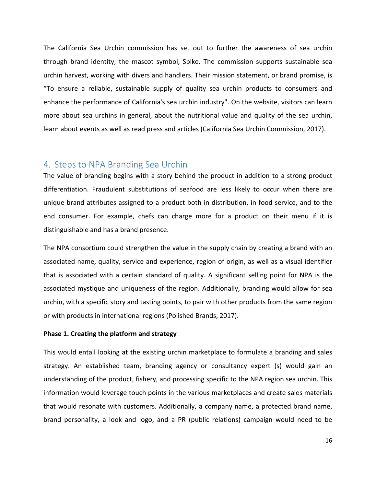The California Sea Urchin commission has set out to further the awareness of sea urchin through brand identity, the mascot symbol, Spike. The commission supports sustainable sea urchin harvest, working with divers and handlers. Their mission statement, or brand promise, is "To ensure a reliable, sustainable supply of quality sea urchin products to consumers and enhance the performance of California's sea urchin industry". On the website, visitors can learn more about sea urchins in general, about the nutritional value and quality of the sea urchin, learn about events as well as read press and articles (California Sea Urchin Commission, 2017).

## <span id="page-19-0"></span>4. Steps to NPA Branding Sea Urchin

The value of branding begins with a story behind the product in addition to a strong product differentiation. Fraudulent substitutions of seafood are less likely to occur when there are unique brand attributes assigned to a product both in distribution, in food service, and to the end consumer. For example, chefs can charge more for a product on their menu if it is distinguishable and has a brand presence.

The NPA consortium could strengthen the value in the supply chain by creating a brand with an associated name, quality, service and experience, region of origin, as well as a visual identifier that is associated with a certain standard of quality. A significant selling point for NPA is the associated mystique and uniqueness of the region. Additionally, branding would allow for sea urchin, with a specific story and tasting points, to pair with other products from the same region or with products in international regions (Polished Brands, 2017).

#### **Phase 1. Creating the platform and strategy**

This would entail looking at the existing urchin marketplace to formulate a branding and sales strategy. An established team, branding agency or consultancy expert (s) would gain an understanding of the product, fishery, and processing specific to the NPA region sea urchin. This information would leverage touch points in the various marketplaces and create sales materials that would resonate with customers. Additionally, a company name, a protected brand name, brand personality, a look and logo, and a PR (public relations) campaign would need to be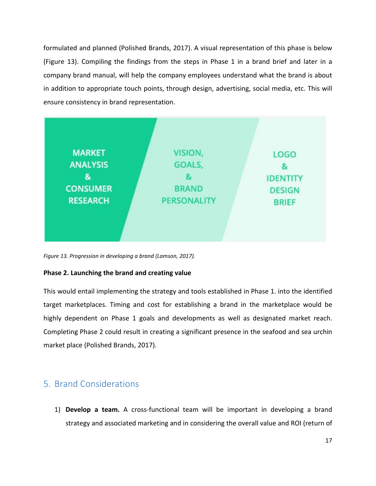formulated and planned (Polished Brands, 2017). A visual representation of this phase is below (Figure 13). Compiling the findings from the steps in Phase 1 in a brand brief and later in a company brand manual, will help the company employees understand what the brand is about in addition to appropriate touch points, through design, advertising, social media, etc. This will ensure consistency in brand representation.



*Figure 13. Progression in developing a brand (Lamson, 2017).* 

## **Phase 2. Launching the brand and creating value**

This would entail implementing the strategy and tools established in Phase 1. into the identified target marketplaces. Timing and cost for establishing a brand in the marketplace would be highly dependent on Phase 1 goals and developments as well as designated market reach. Completing Phase 2 could result in creating a significant presence in the seafood and sea urchin market place (Polished Brands, 2017).

## <span id="page-20-0"></span>5. Brand Considerations

1) **Develop a team.** A cross-functional team will be important in developing a brand strategy and associated marketing and in considering the overall value and ROI (return of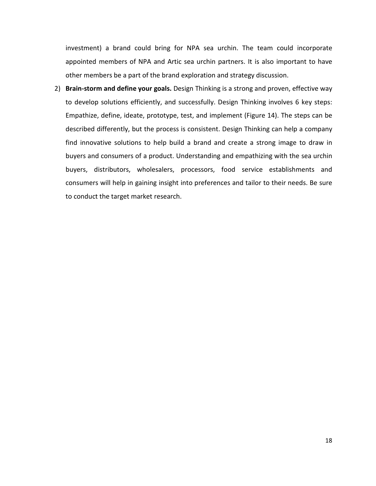investment) a brand could bring for NPA sea urchin. The team could incorporate appointed members of NPA and Artic sea urchin partners. It is also important to have other members be a part of the brand exploration and strategy discussion.

2) **Brain-storm and define your goals.** Design Thinking is a strong and proven, effective way to develop solutions efficiently, and successfully. Design Thinking involves 6 key steps: Empathize, define, ideate, prototype, test, and implement (Figure 14). The steps can be described differently, but the process is consistent. Design Thinking can help a company find innovative solutions to help build a brand and create a strong image to draw in buyers and consumers of a product. Understanding and empathizing with the sea urchin buyers, distributors, wholesalers, processors, food service establishments and consumers will help in gaining insight into preferences and tailor to their needs. Be sure to conduct the target market research.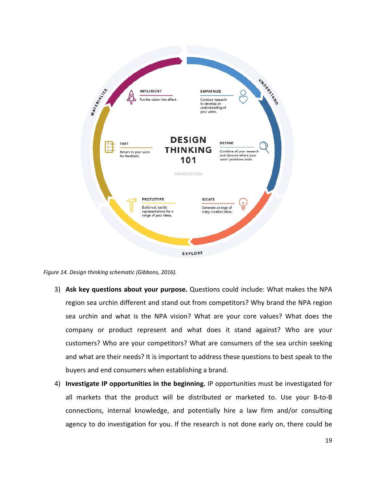

*Figure 14. Design thinking schematic (Gibbons, 2016).*

- 3) **Ask key questions about your purpose.** Questions could include: What makes the NPA region sea urchin different and stand out from competitors? Why brand the NPA region sea urchin and what is the NPA vision? What are your core values? What does the company or product represent and what does it stand against? Who are your customers? Who are your competitors? What are consumers of the sea urchin seeking and what are their needs? It is important to address these questions to best speak to the buyers and end consumers when establishing a brand.
- 4) **Investigate IP opportunities in the beginning.** IP opportunities must be investigated for all markets that the product will be distributed or marketed to. Use your B-to-B connections, internal knowledge, and potentially hire a law firm and/or consulting agency to do investigation for you. If the research is not done early on, there could be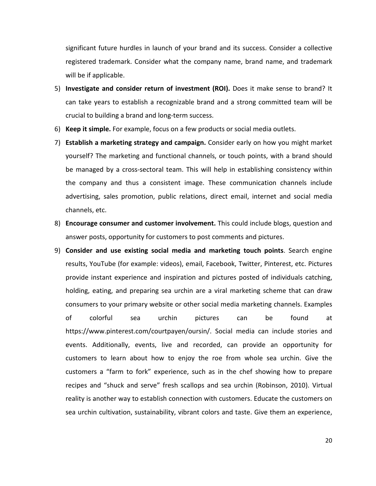significant future hurdles in launch of your brand and its success. Consider a collective registered trademark. Consider what the company name, brand name, and trademark will be if applicable.

- 5) **Investigate and consider return of investment (ROI).** Does it make sense to brand? It can take years to establish a recognizable brand and a strong committed team will be crucial to building a brand and long-term success.
- 6) **Keep it simple.** For example, focus on a few products or social media outlets.
- 7) **Establish a marketing strategy and campaign.** Consider early on how you might market yourself? The marketing and functional channels, or touch points, with a brand should be managed by a cross-sectoral team. This will help in establishing consistency within the company and thus a consistent image. These communication channels include advertising, sales promotion, public relations, direct email, internet and social media channels, etc.
- 8) **Encourage consumer and customer involvement.** This could include blogs, question and answer posts, opportunity for customers to post comments and pictures.
- 9) **Consider and use existing social media and marketing touch points**. Search engine results, YouTube (for example: videos), email, Facebook, Twitter, Pinterest, etc. Pictures provide instant experience and inspiration and pictures posted of individuals catching, holding, eating, and preparing sea urchin are a viral marketing scheme that can draw consumers to your primary website or other social media marketing channels. Examples of colorful sea urchin pictures can be found at https://www.pinterest.com/courtpayen/oursin/. Social media can include stories and events. Additionally, events, live and recorded, can provide an opportunity for customers to learn about how to enjoy the roe from whole sea urchin. Give the customers a "farm to fork" experience, such as in the chef showing how to prepare recipes and "shuck and serve" fresh scallops and sea urchin (Robinson, 2010). Virtual reality is another way to establish connection with customers. Educate the customers on sea urchin cultivation, sustainability, vibrant colors and taste. Give them an experience,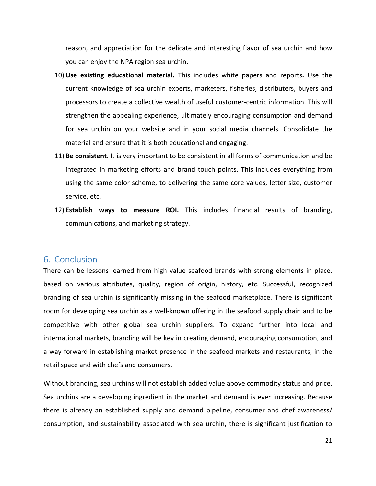reason, and appreciation for the delicate and interesting flavor of sea urchin and how you can enjoy the NPA region sea urchin.

- 10) **Use existing educational material.** This includes white papers and reports**.** Use the current knowledge of sea urchin experts, marketers, fisheries, distributers, buyers and processors to create a collective wealth of useful customer-centric information. This will strengthen the appealing experience, ultimately encouraging consumption and demand for sea urchin on your website and in your social media channels. Consolidate the material and ensure that it is both educational and engaging.
- 11) **Be consistent**. It is very important to be consistent in all forms of communication and be integrated in marketing efforts and brand touch points. This includes everything from using the same color scheme, to delivering the same core values, letter size, customer service, etc.
- 12) **Establish ways to measure ROI.** This includes financial results of branding, communications, and marketing strategy.

## <span id="page-24-0"></span>6. Conclusion

There can be lessons learned from high value seafood brands with strong elements in place, based on various attributes, quality, region of origin, history, etc. Successful, recognized branding of sea urchin is significantly missing in the seafood marketplace. There is significant room for developing sea urchin as a well-known offering in the seafood supply chain and to be competitive with other global sea urchin suppliers. To expand further into local and international markets, branding will be key in creating demand, encouraging consumption, and a way forward in establishing market presence in the seafood markets and restaurants, in the retail space and with chefs and consumers.

Without branding, sea urchins will not establish added value above commodity status and price. Sea urchins are a developing ingredient in the market and demand is ever increasing. Because there is already an established supply and demand pipeline, consumer and chef awareness/ consumption, and sustainability associated with sea urchin, there is significant justification to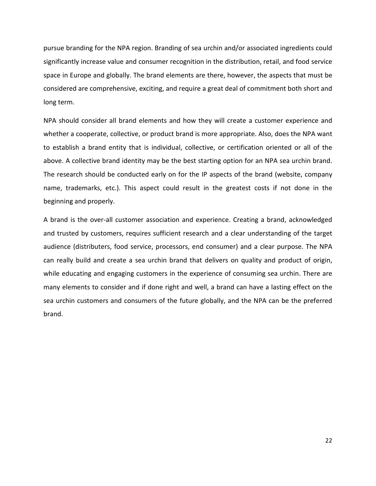pursue branding for the NPA region. Branding of sea urchin and/or associated ingredients could significantly increase value and consumer recognition in the distribution, retail, and food service space in Europe and globally. The brand elements are there, however, the aspects that must be considered are comprehensive, exciting, and require a great deal of commitment both short and long term.

NPA should consider all brand elements and how they will create a customer experience and whether a cooperate, collective, or product brand is more appropriate. Also, does the NPA want to establish a brand entity that is individual, collective, or certification oriented or all of the above. A collective brand identity may be the best starting option for an NPA sea urchin brand. The research should be conducted early on for the IP aspects of the brand (website, company name, trademarks, etc.). This aspect could result in the greatest costs if not done in the beginning and properly.

A brand is the over-all customer association and experience. Creating a brand, acknowledged and trusted by customers, requires sufficient research and a clear understanding of the target audience (distributers, food service, processors, end consumer) and a clear purpose. The NPA can really build and create a sea urchin brand that delivers on quality and product of origin, while educating and engaging customers in the experience of consuming sea urchin. There are many elements to consider and if done right and well, a brand can have a lasting effect on the sea urchin customers and consumers of the future globally, and the NPA can be the preferred brand.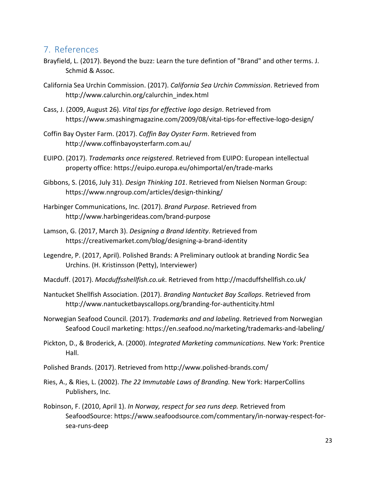## <span id="page-26-0"></span>7. References

- Brayfield, L. (2017). Beyond the buzz: Learn the ture defintion of "Brand" and other terms. J. Schmid & Assoc.
- California Sea Urchin Commission. (2017). *California Sea Urchin Commission*. Retrieved from http://www.calurchin.org/calurchin\_index.html
- Cass, J. (2009, August 26). *Vital tips for effective logo design*. Retrieved from https://www.smashingmagazine.com/2009/08/vital-tips-for-effective-logo-design/
- Coffin Bay Oyster Farm. (2017). *Coffin Bay Oyster Farm*. Retrieved from http://www.coffinbayoysterfarm.com.au/
- EUIPO. (2017). *Trademarks once reigstered*. Retrieved from EUIPO: European intellectual property office: https://euipo.europa.eu/ohimportal/en/trade-marks
- Gibbons, S. (2016, July 31). *Design Thinking 101*. Retrieved from Nielsen Norman Group: https://www.nngroup.com/articles/design-thinking/
- Harbinger Communications, Inc. (2017). *Brand Purpose*. Retrieved from http://www.harbingerideas.com/brand-purpose
- Lamson, G. (2017, March 3). *Designing a Brand Identity*. Retrieved from https://creativemarket.com/blog/designing-a-brand-identity
- Legendre, P. (2017, April). Polished Brands: A Preliminary outlook at branding Nordic Sea Urchins. (H. Kristinsson (Petty), Interviewer)
- Macduff. (2017). *Macduffsshellfish.co.uk*. Retrieved from http://macduffshellfish.co.uk/
- Nantucket Shellfish Association. (2017). *Branding Nantucket Bay Scallops*. Retrieved from http://www.nantucketbayscallops.org/branding-for-authenticity.html
- Norwegian Seafood Council. (2017). *Trademarks and and labeling*. Retrieved from Norwegian Seafood Coucil marketing: https://en.seafood.no/marketing/trademarks-and-labeling/
- Pickton, D., & Broderick, A. (2000). *Integrated Marketing communications.* New York: Prentice Hall.
- Polished Brands. (2017). Retrieved from http://www.polished-brands.com/
- Ries, A., & Ries, L. (2002). *The 22 Immutable Laws of Branding.* New York: HarperCollins Publishers, Inc.
- Robinson, F. (2010, April 1). *In Norway, respect for sea runs deep.* Retrieved from SeafoodSource: https://www.seafoodsource.com/commentary/in-norway-respect-forsea-runs-deep